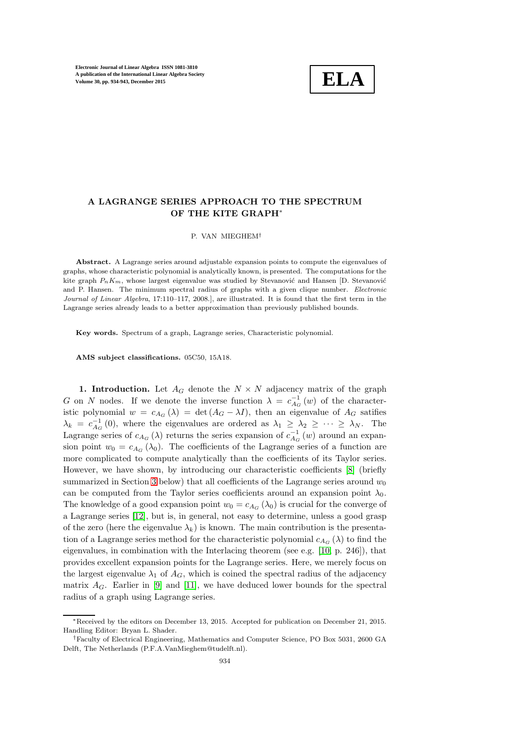

## A LAGRANGE SERIES APPROACH TO THE SPECTRUM OF THE KITE GRAPH<sup>∗</sup>

P. VAN MIEGHEM†

Abstract. A Lagrange series around adjustable expansion points to compute the eigenvalues of graphs, whose characteristic polynomial is analytically known, is presented. The computations for the kite graph  $P_nK_m$ , whose largest eigenvalue was studied by Stevanović and Hansen [D. Stevanović and P. Hansen. The minimum spectral radius of graphs with a given clique number. Electronic Journal of Linear Algebra, 17:110–117, 2008.], are illustrated. It is found that the first term in the Lagrange series already leads to a better approximation than previously published bounds.

Key words. Spectrum of a graph, Lagrange series, Characteristic polynomial.

AMS subject classifications. 05C50, 15A18.

1. Introduction. Let  $A_G$  denote the  $N \times N$  adjacency matrix of the graph G on N nodes. If we denote the inverse function  $\lambda = c_{A_G}^{-1}(w)$  of the characteristic polynomial  $w = c_{A_G}(\lambda) = \det(A_G - \lambda I)$ , then an eigenvalue of  $A_G$  satifies  $\lambda_k = c_{A_G}^{-1}(0)$ , where the eigenvalues are ordered as  $\lambda_1 \geq \lambda_2 \geq \cdots \geq \lambda_N$ . The Lagrange series of  $c_{A_G}(\lambda)$  returns the series expansion of  $c_{A_G}^{-1}(w)$  around an expansion point  $w_0 = c_{A_G}(\lambda_0)$ . The coefficients of the Lagrange series of a function are more complicated to compute analytically than the coefficients of its Taylor series. However, we have shown, by introducing our characteristic coefficients [\[8\]](#page-9-0) (briefly summarized in Section [3](#page-3-0) below) that all coefficients of the Lagrange series around  $w_0$ can be computed from the Taylor series coefficients around an expansion point  $\lambda_0$ . The knowledge of a good expansion point  $w_0 = c_{A_G}(\lambda_0)$  is crucial for the converge of a Lagrange series [\[12\]](#page-9-1), but is, in general, not easy to determine, unless a good grasp of the zero (here the eigenvalue  $\lambda_k$ ) is known. The main contribution is the presentation of a Lagrange series method for the characteristic polynomial  $c_{A_G}(\lambda)$  to find the eigenvalues, in combination with the Interlacing theorem (see e.g. [\[10,](#page-9-2) p. 246]), that provides excellent expansion points for the Lagrange series. Here, we merely focus on the largest eigenvalue  $\lambda_1$  of  $A_G$ , which is coined the spectral radius of the adjacency matrix  $A_G$ . Earlier in [\[9\]](#page-9-3) and [\[11\]](#page-9-4), we have deduced lower bounds for the spectral radius of a graph using Lagrange series.

<sup>∗</sup>Received by the editors on December 13, 2015. Accepted for publication on December 21, 2015. Handling Editor: Bryan L. Shader.

<sup>†</sup>Faculty of Electrical Engineering, Mathematics and Computer Science, PO Box 5031, 2600 GA Delft, The Netherlands (P.F.A.VanMieghem@tudelft.nl).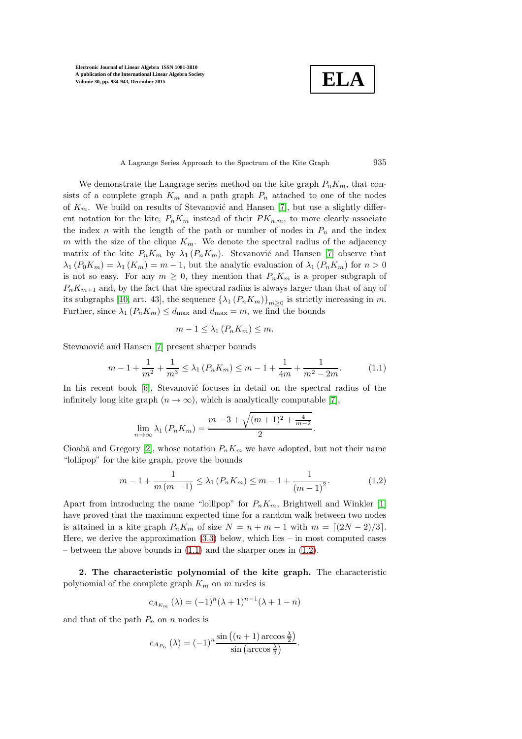**ELA**

#### A Lagrange Series Approach to the Spectrum of the Kite Graph 935

We demonstrate the Langrage series method on the kite graph  $P_nK_m$ , that consists of a complete graph  $K_m$  and a path graph  $P_n$  attached to one of the nodes of  $K_m$ . We build on results of Stevanović and Hansen [\[7\]](#page-9-5), but use a slightly different notation for the kite,  $P_n K_m$  instead of their  $PK_{n,m}$ , to more clearly associate the index n with the length of the path or number of nodes in  $P_n$  and the index m with the size of the clique  $K_m$ . We denote the spectral radius of the adjacency matrix of the kite  $P_n K_m$  by  $\lambda_1 (P_n K_m)$ . Stevanović and Hansen [\[7\]](#page-9-5) observe that  $\lambda_1(P_0K_m) = \lambda_1(K_m) = m - 1$ , but the analytic evaluation of  $\lambda_1(P_nK_m)$  for  $n > 0$ is not so easy. For any  $m \geq 0$ , they mention that  $P_n K_m$  is a proper subgraph of  $P_nK_{m+1}$  and, by the fact that the spectral radius is always larger than that of any of its subgraphs [\[10,](#page-9-2) art. 43], the sequence  $\{\lambda_1(P_nK_m)\}_{m\geq 0}$  is strictly increasing in m. Further, since  $\lambda_1(P_nK_m) \leq d_{\text{max}}$  and  $d_{\text{max}} = m$ , we find the bounds

<span id="page-1-0"></span>
$$
m-1 \leq \lambda_1 \left( P_n K_m \right) \leq m.
$$

Stevanović and Hansen [\[7\]](#page-9-5) present sharper bounds

$$
m - 1 + \frac{1}{m^2} + \frac{1}{m^3} \le \lambda_1 \left( P_n K_m \right) \le m - 1 + \frac{1}{4m} + \frac{1}{m^2 - 2m}.
$$
 (1.1)

In his recent book  $[6]$ , Stevanović focuses in detail on the spectral radius of the infinitely long kite graph  $(n \to \infty)$ , which is analytically computable [\[7\]](#page-9-5),

$$
\lim_{n \to \infty} \lambda_1 (P_n K_m) = \frac{m - 3 + \sqrt{(m+1)^2 + \frac{4}{m-2}}}{2}
$$

Cioabă and Gregory [\[2\]](#page-8-0), whose notation  $P_nK_m$  we have adopted, but not their name "lollipop" for the kite graph, prove the bounds

$$
m - 1 + \frac{1}{m(m - 1)} \le \lambda_1 \left( P_n K_m \right) \le m - 1 + \frac{1}{\left( m - 1 \right)^2}.
$$
 (1.2)

<span id="page-1-1"></span>.

Apart from introducing the name "lollipop" for  $P_nK_m$ , Brightwell and Winkler [\[1\]](#page-8-1) have proved that the maximum expected time for a random walk between two nodes is attained in a kite graph  $P_n K_m$  of size  $N = n + m - 1$  with  $m = \lfloor (2N - 2)/3 \rfloor$ . Here, we derive the approximation  $(3.3)$  below, which lies – in most computed cases – between the above bounds in  $(1.1)$  and the sharper ones in  $(1.2)$ .

2. The characteristic polynomial of the kite graph. The characteristic polynomial of the complete graph  $K_m$  on m nodes is

$$
c_{A_{K_m}}(\lambda) = (-1)^n (\lambda + 1)^{n-1} (\lambda + 1 - n)
$$

and that of the path  $P_n$  on n nodes is

$$
c_{A_{P_n}}\left(\lambda\right) = (-1)^n \frac{\sin\left((n+1)\arccos\frac{\lambda}{2}\right)}{\sin\left(\arccos\frac{\lambda}{2}\right)}.
$$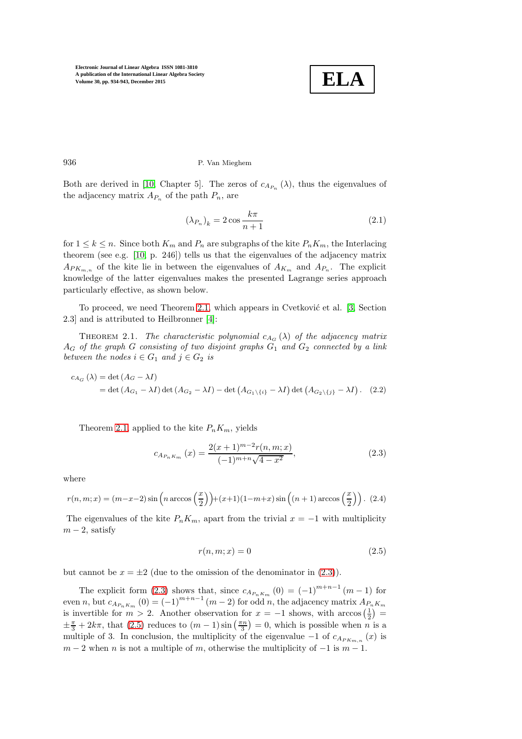

936 P. Van Mieghem

Both are derived in [\[10,](#page-9-2) Chapter 5]. The zeros of  $c_{A_{P_n}}(\lambda)$ , thus the eigenvalues of the adjacency matrix  $A_{P_n}$  of the path  $P_n$ , are

<span id="page-2-4"></span>
$$
(\lambda_{P_n})_k = 2\cos\frac{k\pi}{n+1} \tag{2.1}
$$

for  $1 \leq k \leq n$ . Since both  $K_m$  and  $P_n$  are subgraphs of the kite  $P_n K_m$ , the Interlacing theorem (see e.g. [\[10,](#page-9-2) p. 246]) tells us that the eigenvalues of the adjacency matrix  $A_{PK_{m,n}}$  of the kite lie in between the eigenvalues of  $A_{K_m}$  and  $A_{P_n}$ . The explicit knowledge of the latter eigenvalues makes the presented Lagrange series approach particularly effective, as shown below.

<span id="page-2-0"></span>To proceed, we need Theorem [2.1,](#page-2-0) which appears in Cvetković et al.  $[3, Section$ 2.3] and is attributed to Heilbronner [\[4\]](#page-8-3):

THEOREM 2.1. The characteristic polynomial  $c_{A_G}(\lambda)$  of the adjacency matrix  $A_G$  of the graph G consisting of two disjoint graphs  $G_1$  and  $G_2$  connected by a link between the nodes  $i \in G_1$  and  $j \in G_2$  is

$$
c_{A_G}(\lambda) = \det (A_G - \lambda I)
$$
  
= det  $(A_{G_1} - \lambda I)$  det  $(A_{G_2} - \lambda I) - \det (A_{G_1 \setminus \{i\}} - \lambda I)$  det  $(A_{G_2 \setminus \{j\}} - \lambda I)$ . (2.2)

Theorem [2.1,](#page-2-0) applied to the kite  $P_n K_m$ , yields

<span id="page-2-1"></span>
$$
c_{A_{P_nK_m}}(x) = \frac{2(x+1)^{m-2}r(n,m;x)}{(-1)^{m+n}\sqrt{4-x^2}},
$$
\n(2.3)

<span id="page-2-3"></span>where

$$
r(n,m;x) = (m-x-2)\sin\left(n\arccos\left(\frac{x}{2}\right)\right) + (x+1)(1-m+x)\sin\left((n+1)\arccos\left(\frac{x}{2}\right)\right). \tag{2.4}
$$

<span id="page-2-2"></span>The eigenvalues of the kite  $P_n K_m$ , apart from the trivial  $x = -1$  with multiplicity  $m-2$ , satisfy

$$
r(n,m;x) = 0\tag{2.5}
$$

but cannot be  $x = \pm 2$  (due to the omission of the denominator in [\(2.3\)](#page-2-1)).

The explicit form [\(2.3\)](#page-2-1) shows that, since  $c_{A_{P_nK_m}}(0) = (-1)^{m+n-1}(m-1)$  for even n, but  $c_{A_{P_nK_m}}(0) = (-1)^{m+n-1}(m-2)$  for odd n, the adjacency matrix  $A_{P_nK_m}$ is invertible for  $m > 2$ . Another observation for  $x = -1$  shows, with  $arccos(\frac{1}{2}) =$  $\pm \frac{\pi}{3} + 2k\pi$ , that [\(2.5\)](#page-2-2) reduces to  $(m-1)\sin\left(\frac{\pi n}{3}\right) = 0$ , which is possible when *n* is a multiple of 3. In conclusion, the multiplicity of the eigenvalue  $-1$  of  $c_{A_{PK_{m,n}}}(x)$  is  $m-2$  when n is not a multiple of m, otherwise the multiplicity of  $-1$  is  $m-1$ .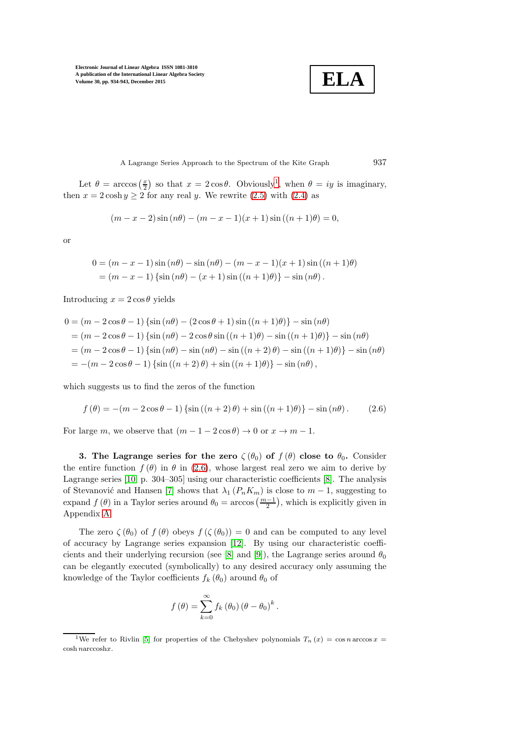**ELA**

A Lagrange Series Approach to the Spectrum of the Kite Graph 937

Let  $\theta = \arccos\left(\frac{x}{2}\right)$  so that  $x = 2\cos\theta$ . Obviously<sup>[1](#page-3-1)</sup>, when  $\theta = iy$  is imaginary, then  $x = 2 \cosh y \ge 2$  for any real y. We rewrite [\(2.5\)](#page-2-2) with [\(2.4\)](#page-2-3) as

$$
(m - x - 2)\sin(n\theta) - (m - x - 1)(x + 1)\sin((n + 1)\theta) = 0,
$$

or

$$
0 = (m - x - 1)\sin(n\theta) - \sin(n\theta) - (m - x - 1)(x + 1)\sin((n + 1)\theta)
$$
  
= (m - x - 1) {sin(n\theta) - (x + 1)sin((n + 1)\theta)} - sin(n\theta).

Introducing  $x = 2 \cos \theta$  yields

$$
0 = (m - 2\cos\theta - 1) \left\{ \sin(n\theta) - (2\cos\theta + 1) \sin((n+1)\theta) \right\} - \sin(n\theta)
$$
  
=  $(m - 2\cos\theta - 1) \left\{ \sin(n\theta) - 2\cos\theta \sin((n+1)\theta) - \sin((n+1)\theta) \right\} - \sin(n\theta)$   
=  $(m - 2\cos\theta - 1) \left\{ \sin(n\theta) - \sin(n\theta) - \sin((n+2)\theta) - \sin((n+1)\theta) \right\} - \sin(n\theta)$   
=  $-(m - 2\cos\theta - 1) \left\{ \sin((n+2)\theta) + \sin((n+1)\theta) \right\} - \sin(n\theta),$ 

which suggests us to find the zeros of the function

<span id="page-3-2"></span>
$$
f(\theta) = -(m - 2\cos\theta - 1)\left\{\sin((n+2)\theta) + \sin((n+1)\theta)\right\} - \sin(n\theta).
$$
 (2.6)

<span id="page-3-0"></span>For large m, we observe that  $(m - 1 - 2\cos\theta) \rightarrow 0$  or  $x \rightarrow m - 1$ .

3. The Lagrange series for the zero  $\zeta(\theta_0)$  of  $f(\theta)$  close to  $\theta_0$ . Consider the entire function  $f(\theta)$  in  $\theta$  in [\(2.6\)](#page-3-2), whose largest real zero we aim to derive by Lagrange series [\[10,](#page-9-2) p. 304–305] using our characteristic coefficients [\[8\]](#page-9-0). The analysis of Stevanović and Hansen [\[7\]](#page-9-5) shows that  $\lambda_1 (P_n K_m)$  is close to  $m-1$ , suggesting to expand  $f(\theta)$  in a Taylor series around  $\theta_0 = \arccos\left(\frac{m-1}{2}\right)$ , which is explicitly given in Appendix [A.](#page-6-0)

The zero  $\zeta(\theta_0)$  of  $f(\theta)$  obeys  $f(\zeta(\theta_0)) = 0$  and can be computed to any level of accuracy by Lagrange series expansion [\[12\]](#page-9-1). By using our characteristic coeffi-cients and their underlying recursion (see [\[8\]](#page-9-0) and [\[9\]](#page-9-3)), the Lagrange series around  $\theta_0$ can be elegantly executed (symbolically) to any desired accuracy only assuming the knowledge of the Taylor coefficients  $f_k(\theta_0)$  around  $\theta_0$  of

$$
f(\theta) = \sum_{k=0}^{\infty} f_k(\theta_0) (\theta - \theta_0)^k.
$$

<span id="page-3-1"></span><sup>&</sup>lt;sup>1</sup>We refer to Rivlin [\[5\]](#page-8-4) for properties of the Chebyshev polynomials  $T_n(x) = \cos n \arccos x =$ cosh narccoshx.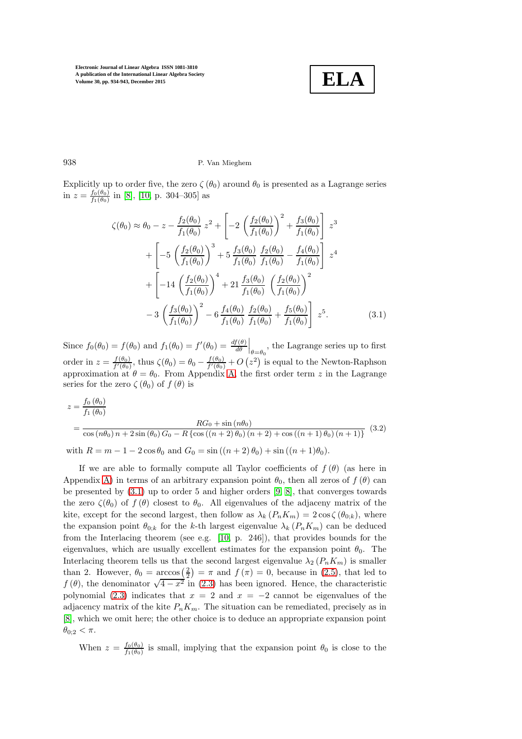<span id="page-4-0"></span>

#### 938 P. Van Mieghem

Explicitly up to order five, the zero  $\zeta(\theta_0)$  around  $\theta_0$  is presented as a Lagrange series in  $z = \frac{f_0(\theta_0)}{f_1(\theta_0)}$  $\frac{f_0(\theta_0)}{f_1(\theta_0)}$  in [\[8\]](#page-9-0), [\[10,](#page-9-2) p. 304–305] as

$$
\zeta(\theta_0) \approx \theta_0 - z - \frac{f_2(\theta_0)}{f_1(\theta_0)} z^2 + \left[ -2 \left( \frac{f_2(\theta_0)}{f_1(\theta_0)} \right)^2 + \frac{f_3(\theta_0)}{f_1(\theta_0)} \right] z^3
$$
  
+ 
$$
\left[ -5 \left( \frac{f_2(\theta_0)}{f_1(\theta_0)} \right)^3 + 5 \frac{f_3(\theta_0)}{f_1(\theta_0)} \frac{f_2(\theta_0)}{f_1(\theta_0)} - \frac{f_4(\theta_0)}{f_1(\theta_0)} \right] z^4
$$
  
+ 
$$
\left[ -14 \left( \frac{f_2(\theta_0)}{f_1(\theta_0)} \right)^4 + 21 \frac{f_3(\theta_0)}{f_1(\theta_0)} \left( \frac{f_2(\theta_0)}{f_1(\theta_0)} \right)^2
$$
  
- 
$$
3 \left( \frac{f_3(\theta_0)}{f_1(\theta_0)} \right)^2 - 6 \frac{f_4(\theta_0)}{f_1(\theta_0)} \frac{f_2(\theta_0)}{f_1(\theta_0)} + \frac{f_5(\theta_0)}{f_1(\theta_0)} \right] z^5.
$$
(3.1)

Since  $f_0(\theta_0) = f(\theta_0)$  and  $f_1(\theta_0) = f'(\theta_0) = \frac{df(\theta)}{d\theta}\Big|_{\theta=\theta_0}$ , the Lagrange series up to first order in  $z = \frac{f(\theta_0)}{f'(\theta_0)}$  $\frac{f(\theta_0)}{f'(\theta_0)}$ , thus  $\zeta(\theta_0) = \theta_0 - \frac{f(\theta_0)}{f'(\theta_0)}$  $\frac{f(\theta_0)}{f'(\theta_0)} + O(z^2)$  is equal to the Newton-Raphson approximation at  $\theta = \theta_0$ . From Appendix [A,](#page-6-0) the first order term z in the Lagrange series for the zero  $\zeta(\theta_0)$  of  $f(\theta)$  is

<span id="page-4-1"></span>
$$
z = \frac{f_0(\theta_0)}{f_1(\theta_0)}
$$
  
= 
$$
\frac{RG_0 + \sin(n\theta_0)}{\cos(n\theta_0) n + 2\sin(\theta_0) G_0 - R\{\cos((n+2)\theta_0)(n+2) + \cos((n+1)\theta_0)(n+1)\}}
$$
(3.2)

with  $R = m - 1 - 2\cos\theta_0$  and  $G_0 = \sin((n + 2)\theta_0) + \sin((n + 1)\theta_0)$ .

If we are able to formally compute all Taylor coefficients of  $f(\theta)$  (as here in Appendix [A\)](#page-6-0) in terms of an arbitrary expansion point  $\theta_0$ , then all zeros of  $f(\theta)$  can be presented by [\(3.1\)](#page-4-0) up to order 5 and higher orders [\[9,](#page-9-3) [8\]](#page-9-0), that converges towards the zero  $\zeta(\theta_0)$  of  $f(\theta)$  closest to  $\theta_0$ . All eigenvalues of the adjaceny matrix of the kite, except for the second largest, then follow as  $\lambda_k (P_n K_m) = 2 \cos(\theta_{0:k})$ , where the expansion point  $\theta_{0:k}$  for the k-th largest eigenvalue  $\lambda_k$  ( $P_nK_m$ ) can be deduced from the Interlacing theorem (see e.g. [\[10,](#page-9-2) p. 246]), that provides bounds for the eigenvalues, which are usually excellent estimates for the expansion point  $\theta_0$ . The Interlacing theorem tells us that the second largest eigenvalue  $\lambda_2$  ( $P_nK_m$ ) is smaller than 2. However,  $\theta_0 = \arccos\left(\frac{2}{2}\right) = \pi$  and  $f(\pi) = 0$ , because in [\(2.5\)](#page-2-2), that led to  $f(\theta)$ , the denominator  $\sqrt{4-x^2}$  in [\(2.3\)](#page-2-1) has been ignored. Hence, the characteristic polynomial [\(2.3\)](#page-2-1) indicates that  $x = 2$  and  $x = -2$  cannot be eigenvalues of the adjacency matrix of the kite  $P_n K_m$ . The situation can be remediated, precisely as in [\[8\]](#page-9-0), which we omit here; the other choice is to deduce an appropriate expansion point  $\theta_{0;2} < \pi$ .

When  $z = \frac{f_0(\theta_0)}{f_1(\theta_0)}$  $\frac{f_0(\theta_0)}{f_1(\theta_0)}$  is small, implying that the expansion point  $\theta_0$  is close to the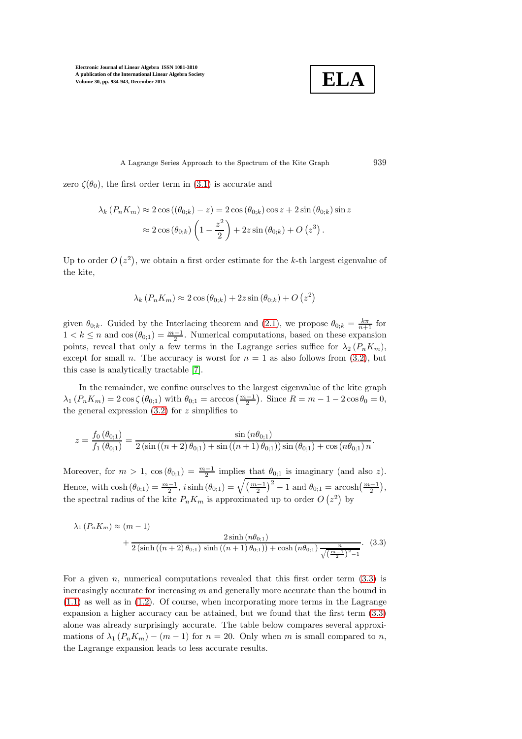$$
\boxed{\textbf{ELA}}
$$

A Lagrange Series Approach to the Spectrum of the Kite Graph 939

zero  $\zeta(\theta_0)$ , the first order term in [\(3.1\)](#page-4-0) is accurate and

$$
\lambda_k \left( P_n K_m \right) \approx 2 \cos \left( \left( \theta_{0;k} \right) - z \right) = 2 \cos \left( \theta_{0;k} \right) \cos z + 2 \sin \left( \theta_{0;k} \right) \sin z
$$

$$
\approx 2 \cos \left( \theta_{0;k} \right) \left( 1 - \frac{z^2}{2} \right) + 2 z \sin \left( \theta_{0;k} \right) + O\left( z^3 \right).
$$

Up to order  $O(z^2)$ , we obtain a first order estimate for the k-th largest eigenvalue of the kite,

$$
\lambda_k \left( P_n K_m \right) \approx 2 \cos \left( \theta_{0;k} \right) + 2 z \sin \left( \theta_{0;k} \right) + O\left( z^2 \right)
$$

given  $\theta_{0,k}$ . Guided by the Interlacing theorem and [\(2.1\)](#page-2-4), we propose  $\theta_{0,k} = \frac{k\pi}{n+1}$  for  $1 < k \leq n$  and  $\cos(\theta_{0,1}) = \frac{m-1}{2}$ . Numerical computations, based on these expansion points, reveal that only a few terms in the Lagrange series suffice for  $\lambda_2$  ( $P_nK_m$ ), except for small *n*. The accuracy is worst for  $n = 1$  as also follows from [\(3.2\)](#page-4-1), but this case is analytically tractable [\[7\]](#page-9-5).

In the remainder, we confine ourselves to the largest eigenvalue of the kite graph  $\lambda_1(P_n K_m) = 2 \cos \zeta (\theta_{0;1})$  with  $\theta_{0;1} = \arccos \left( \frac{m-1}{2} \right)$ . Since  $R = m - 1 - 2 \cos \theta_0 = 0$ , the general expression  $(3.2)$  for z simplifies to

$$
z = \frac{f_0(\theta_{0;1})}{f_1(\theta_{0;1})} = \frac{\sin (n\theta_{0;1})}{2\left(\sin \left(\left(n+2\right)\theta_{0;1}\right) + \sin \left(\left(n+1\right)\theta_{0;1}\right)\right)\sin \left(\theta_{0;1}\right) + \cos (n\theta_{0;1})n}.
$$

Moreover, for  $m > 1$ ,  $\cos(\theta_{0,1}) = \frac{m-1}{2}$  implies that  $\theta_{0,1}$  is imaginary (and also z). Hence, with  $\cosh(\theta_{0,1}) = \frac{m-1}{2}$ ,  $i \sinh(\theta_{0,1}) = \sqrt{\left(\frac{m-1}{2}\right)^2 - 1}$  and  $\theta_{0,1} = \arosh(\frac{m-1}{2})$ , the spectral radius of the kite  $P_n K_m$  is approximated up to order  $O(z^2)$  by

<span id="page-5-0"></span>
$$
\lambda_1 (P_n K_m) \approx (m-1) \frac{2 \sinh (n \theta_{0;1}) + \frac{2 \sinh (n \theta_{0;1})}{2 (\sinh ((n+2) \theta_{0;1}) \sinh ((n+1) \theta_{0;1})) + \cosh (n \theta_{0;1}) \frac{n}{\sqrt{\left(\frac{m-1}{2}\right)^2 - 1}}}.
$$
 (3.3)

For a given  $n$ , numerical computations revealed that this first order term  $(3.3)$  is increasingly accurate for increasing  $m$  and generally more accurate than the bound in  $(1.1)$  as well as in  $(1.2)$ . Of course, when incorporating more terms in the Lagrange expansion a higher accuracy can be attained, but we found that the first term [\(3.3\)](#page-5-0) alone was already surprisingly accurate. The table below compares several approximations of  $\lambda_1 (P_n K_m) - (m-1)$  for  $n = 20$ . Only when m is small compared to n, the Lagrange expansion leads to less accurate results.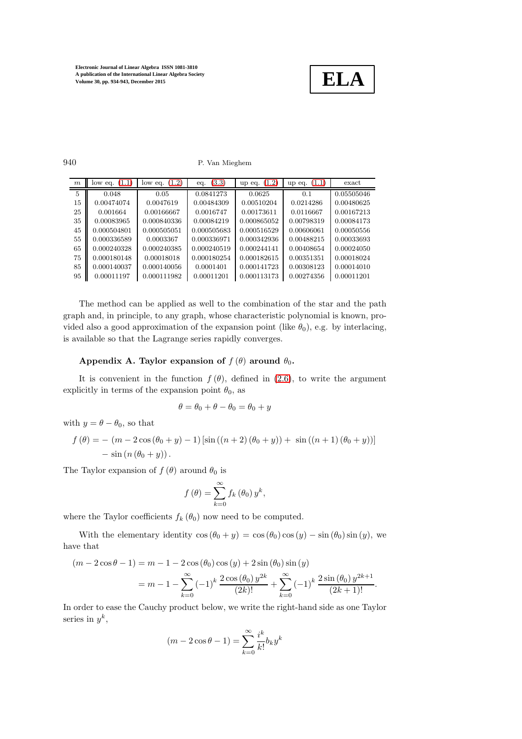

940 P. Van Mieghem

| m  | low eq. $(1.1)$ | low eq. $(1.2)$ | (3.3)<br>eq. | (1.2)<br>up eq. | up eq. $(1.1)$ | exact      |
|----|-----------------|-----------------|--------------|-----------------|----------------|------------|
| 5  | 0.048           | 0.05            | 0.0841273    | 0.0625          | 0.1            | 0.05505046 |
| 15 | 0.00474074      | 0.0047619       | 0.00484309   | 0.00510204      | 0.0214286      | 0.00480625 |
| 25 | 0.001664        | 0.00166667      | 0.0016747    | 0.00173611      | 0.0116667      | 0.00167213 |
| 35 | 0.00083965      | 0.000840336     | 0.00084219   | 0.000865052     | 0.00798319     | 0.00084173 |
| 45 | 0.000504801     | 0.000505051     | 0.000505683  | 0.000516529     | 0.00606061     | 0.00050556 |
| 55 | 0.000336589     | 0.0003367       | 0.000336971  | 0.000342936     | 0.00488215     | 0.00033693 |
| 65 | 0.000240328     | 0.000240385     | 0.000240519  | 0.000244141     | 0.00408654     | 0.00024050 |
| 75 | 0.000180148     | 0.00018018      | 0.000180254  | 0.000182615     | 0.00351351     | 0.00018024 |
| 85 | 0.000140037     | 0.000140056     | 0.0001401    | 0.000141723     | 0.00308123     | 0.00014010 |
| 95 | 0.00011197      | 0.000111982     | 0.00011201   | 0.000113173     | 0.00274356     | 0.00011201 |

The method can be applied as well to the combination of the star and the path graph and, in principle, to any graph, whose characteristic polynomial is known, provided also a good approximation of the expansion point (like  $\theta_0$ ), e.g. by interlacing, is available so that the Lagrange series rapidly converges.

# <span id="page-6-0"></span>Appendix A. Taylor expansion of  $f(\theta)$  around  $\theta_0$ .

It is convenient in the function  $f(\theta)$ , defined in [\(2.6\)](#page-3-2), to write the argument explicitly in terms of the expansion point  $\theta_0$ , as

$$
\theta = \theta_0 + \theta - \theta_0 = \theta_0 + y
$$

with  $y = \theta - \theta_0$ , so that

$$
f(\theta) = -(m - 2\cos(\theta_0 + y) - 1) [\sin((n+2)(\theta_0 + y)) + \sin((n+1)(\theta_0 + y))]
$$
  
- sin (n (\theta\_0 + y)).

The Taylor expansion of  $f(\theta)$  around  $\theta_0$  is

$$
f(\theta) = \sum_{k=0}^{\infty} f_k(\theta_0) y^k,
$$

where the Taylor coefficients  $f_k(\theta_0)$  now need to be computed.

With the elementary identity  $\cos (\theta_0 + y) = \cos (\theta_0) \cos (y) - \sin (\theta_0) \sin (y)$ , we have that

$$
(m - 2\cos\theta - 1) = m - 1 - 2\cos(\theta_0)\cos(y) + 2\sin(\theta_0)\sin(y)
$$
  
=  $m - 1 - \sum_{k=0}^{\infty} (-1)^k \frac{2\cos(\theta_0) y^{2k}}{(2k)!} + \sum_{k=0}^{\infty} (-1)^k \frac{2\sin(\theta_0) y^{2k+1}}{(2k+1)!}.$ 

In order to ease the Cauchy product below, we write the right-hand side as one Taylor series in  $y^k$ ,

$$
(m - 2\cos\theta - 1) = \sum_{k=0}^{\infty} \frac{i^k}{k!} b_k y^k
$$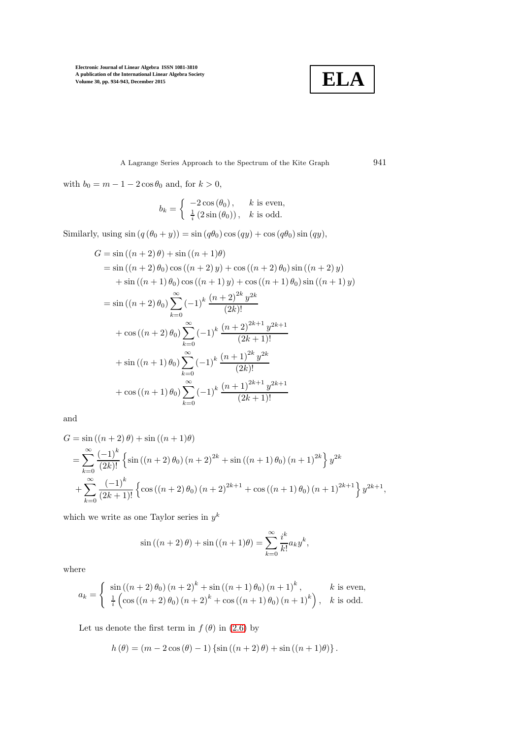

A Lagrange Series Approach to the Spectrum of the Kite Graph 941

with  $b_0 = m - 1 - 2\cos\theta_0$  and, for  $k > 0$ ,

$$
b_k = \begin{cases} -2\cos(\theta_0), & k \text{ is even,} \\ \frac{1}{i}(2\sin(\theta_0)), & k \text{ is odd.} \end{cases}
$$

Similarly, using  $sin (q (\theta_0 + y)) = sin (q \theta_0) cos (qy) + cos (q \theta_0) sin (qy)$ ,

$$
G = \sin ((n + 2) \theta) + \sin ((n + 1) \theta)
$$
  
= sin ((n + 2) \theta<sub>0</sub>) cos ((n + 2) y) + cos ((n + 2) \theta<sub>0</sub>) sin ((n + 2) y)  
+ sin ((n + 1) \theta<sub>0</sub>) cos ((n + 1) y) + cos ((n + 1) \theta<sub>0</sub>) sin ((n + 1) y)  
= sin ((n + 2) \theta<sub>0</sub>)  $\sum_{k=0}^{\infty} (-1)^k \frac{(n + 2)^{2k} y^{2k}}{(2k)!}$   
+ cos ((n + 2) \theta<sub>0</sub>)  $\sum_{k=0}^{\infty} (-1)^k \frac{(n + 2)^{2k+1} y^{2k+1}}{(2k+1)!}$   
+ sin ((n + 1) \theta<sub>0</sub>)  $\sum_{k=0}^{\infty} (-1)^k \frac{(n + 1)^{2k} y^{2k}}{(2k)!}$   
+ cos ((n + 1) \theta<sub>0</sub>)  $\sum_{k=0}^{\infty} (-1)^k \frac{(n + 1)^{2k+1} y^{2k+1}}{(2k+1)!}$ 

and

$$
G = \sin((n+2)\theta) + \sin((n+1)\theta)
$$
  
= 
$$
\sum_{k=0}^{\infty} \frac{(-1)^k}{(2k)!} \left\{ \sin((n+2)\theta_0) (n+2)^{2k} + \sin((n+1)\theta_0) (n+1)^{2k} \right\} y^{2k}
$$
  
+ 
$$
\sum_{k=0}^{\infty} \frac{(-1)^k}{(2k+1)!} \left\{ \cos((n+2)\theta_0) (n+2)^{2k+1} + \cos((n+1)\theta_0) (n+1)^{2k+1} \right\} y^{2k+1},
$$

which we write as one Taylor series in  $y^k$ 

$$
\sin((n+2)\theta) + \sin((n+1)\theta) = \sum_{k=0}^{\infty} \frac{i^k}{k!} a_k y^k,
$$

where

$$
a_k = \begin{cases} \sin((n+2)\theta_0) (n+2)^k + \sin((n+1)\theta_0) (n+1)^k, & k \text{ is even,} \\ \frac{1}{i} \left( \cos((n+2)\theta_0) (n+2)^k + \cos((n+1)\theta_0) (n+1)^k \right), & k \text{ is odd.} \end{cases}
$$

Let us denote the first term in  $f(\theta)$  in [\(2.6\)](#page-3-2) by

$$
h(\theta) = (m - 2\cos(\theta) - 1)\left\{\sin((n+2)\theta) + \sin((n+1)\theta)\right\}.
$$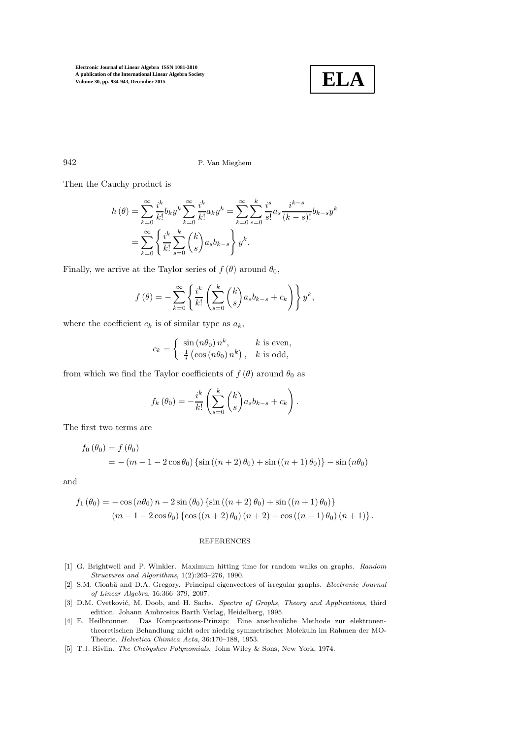

942 P. Van Mieghem

Then the Cauchy product is

$$
h(\theta) = \sum_{k=0}^{\infty} \frac{i^k}{k!} b_k y^k \sum_{k=0}^{\infty} \frac{i^k}{k!} a_k y^k = \sum_{k=0}^{\infty} \sum_{s=0}^k \frac{i^s}{s!} a_s \frac{i^{k-s}}{(k-s)!} b_{k-s} y^k
$$
  
= 
$$
\sum_{k=0}^{\infty} \left\{ \frac{i^k}{k!} \sum_{s=0}^k {k \choose s} a_s b_{k-s} \right\} y^k.
$$

Finally, we arrive at the Taylor series of  $f(\theta)$  around  $\theta_0$ ,

$$
f(\theta) = -\sum_{k=0}^{\infty} \left\{ \frac{i^k}{k!} \left( \sum_{s=0}^k \binom{k}{s} a_s b_{k-s} + c_k \right) \right\} y^k,
$$

where the coefficient  $c_k$  is of similar type as  $a_k$ ,

$$
c_k = \begin{cases} \sin(n\theta_0) n^k, & k \text{ is even,} \\ \frac{1}{i} \left(\cos(n\theta_0) n^k\right), & k \text{ is odd,} \end{cases}
$$

from which we find the Taylor coefficients of  $f(\theta)$  around  $\theta_0$  as

$$
f_k(\theta_0) = -\frac{i^k}{k!} \left( \sum_{s=0}^k \binom{k}{s} a_s b_{k-s} + c_k \right).
$$

The first two terms are

$$
f_0 (\theta_0) = f (\theta_0)
$$
  
= - (m - 1 - 2 cos  $\theta_0$ ) {sin ((n + 2)  $\theta_0$ ) + sin ((n + 1)  $\theta_0$ )} - sin (n $\theta_0$ )

and

$$
f_1(\theta_0) = -\cos(n\theta_0) n - 2\sin(\theta_0) \left\{ \sin((n+2)\theta_0) + \sin((n+1)\theta_0) \right\} (m-1-2\cos\theta_0) \left\{ \cos((n+2)\theta_0) (n+2) + \cos((n+1)\theta_0) (n+1) \right\}.
$$

### REFERENCES

- <span id="page-8-1"></span>[1] G. Brightwell and P. Winkler. Maximum hitting time for random walks on graphs. Random Structures and Algorithms, 1(2):263–276, 1990.
- <span id="page-8-0"></span>[2] S.M. Cioabă and D.A. Gregory. Principal eigenvectors of irregular graphs. Electronic Journal of Linear Algebra, 16:366–379, 2007.
- <span id="page-8-2"></span>[3] D.M. Cvetković, M. Doob, and H. Sachs. Spectra of Graphs, Theory and Applications, third edition. Johann Ambrosius Barth Verlag, Heidelberg, 1995.
- <span id="page-8-3"></span>[4] E. Heilbronner. Das Kompositions-Prinzip: Eine anschauliche Methode zur elektronentheoretischen Behandlung nicht oder niedrig symmetrischer Molekuln im Rahmen der MO-Theorie. Helvetica Chimica Acta, 36:170–188, 1953.
- <span id="page-8-4"></span>[5] T.J. Rivlin. The Chebyshev Polynomials. John Wiley & Sons, New York, 1974.